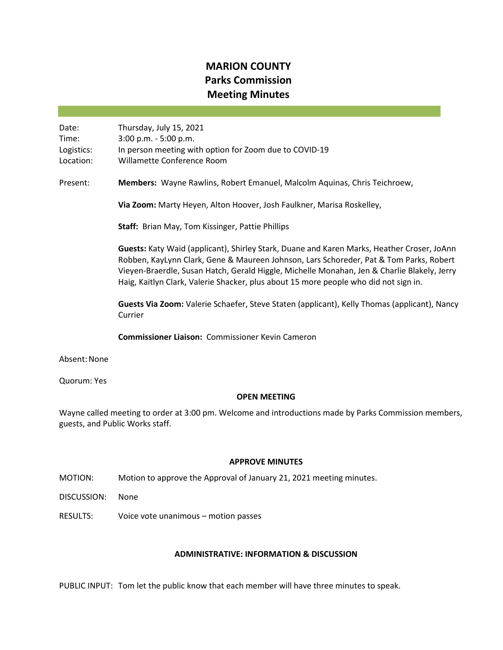# **MARION COUNTY Parks Commission Meeting Minutes**

Date: Thursday, July 15, 2021 Time: 3:00 p.m. - 5:00 p.m. Logistics: In person meeting with option for Zoom due to COVID-19 Location: Willamette Conference Room

Present: **Members:** Wayne Rawlins, Robert Emanuel, Malcolm Aquinas, Chris Teichroew,

**Via Zoom:** Marty Heyen, Alton Hoover, Josh Faulkner, Marisa Roskelley,

**Staff:** Brian May, Tom Kissinger, Pattie Phillips

**Guests:** Katy Waid (applicant), Shirley Stark, Duane and Karen Marks, Heather Croser, JoAnn Robben, KayLynn Clark, Gene & Maureen Johnson, Lars Schoreder, Pat & Tom Parks, Robert Vieyen-Braerdle, Susan Hatch, Gerald Higgle, Michelle Monahan, Jen & Charlie Blakely, Jerry Haig, Kaitlyn Clark, Valerie Shacker, plus about 15 more people who did not sign in.

**Guests Via Zoom:** Valerie Schaefer, Steve Staten (applicant), Kelly Thomas (applicant), Nancy Currier

**Commissioner Liaison:** Commissioner Kevin Cameron

Absent: None

Quorum: Yes

#### **OPEN MEETING**

Wayne called meeting to order at 3:00 pm. Welcome and introductions made by Parks Commission members, guests, and Public Works staff.

#### **APPROVE MINUTES**

MOTION: Motion to approve the Approval of January 21, 2021 meeting minutes.

DISCUSSION: None

RESULTS: Voice vote unanimous – motion passes

#### **ADMINISTRATIVE: INFORMATION & DISCUSSION**

PUBLIC INPUT: Tom let the public know that each member will have three minutes to speak.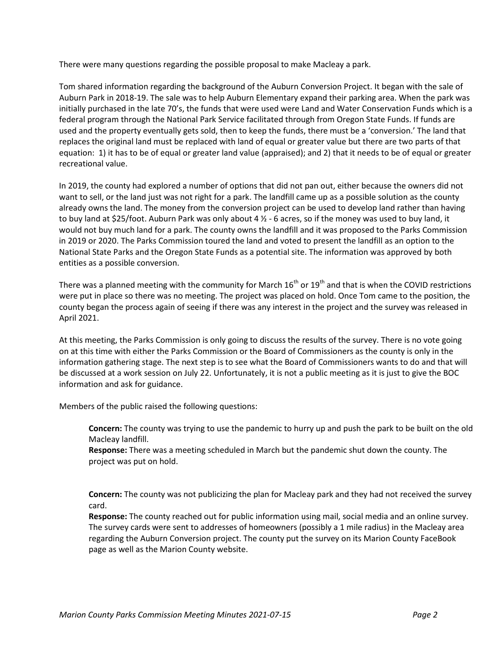There were many questions regarding the possible proposal to make Macleay a park.

Tom shared information regarding the background of the Auburn Conversion Project. It began with the sale of Auburn Park in 2018-19. The sale was to help Auburn Elementary expand their parking area. When the park was initially purchased in the late 70's, the funds that were used were Land and Water Conservation Funds which is a federal program through the National Park Service facilitated through from Oregon State Funds. If funds are used and the property eventually gets sold, then to keep the funds, there must be a 'conversion.' The land that replaces the original land must be replaced with land of equal or greater value but there are two parts of that equation: 1) it has to be of equal or greater land value (appraised); and 2) that it needs to be of equal or greater recreational value.

In 2019, the county had explored a number of options that did not pan out, either because the owners did not want to sell, or the land just was not right for a park. The landfill came up as a possible solution as the county already owns the land. The money from the conversion project can be used to develop land rather than having to buy land at \$25/foot. Auburn Park was only about 4 ½ - 6 acres, so if the money was used to buy land, it would not buy much land for a park. The county owns the landfill and it was proposed to the Parks Commission in 2019 or 2020. The Parks Commission toured the land and voted to present the landfill as an option to the National State Parks and the Oregon State Funds as a potential site. The information was approved by both entities as a possible conversion.

There was a planned meeting with the community for March  $16<sup>th</sup>$  or  $19<sup>th</sup>$  and that is when the COVID restrictions were put in place so there was no meeting. The project was placed on hold. Once Tom came to the position, the county began the process again of seeing if there was any interest in the project and the survey was released in April 2021.

At this meeting, the Parks Commission is only going to discuss the results of the survey. There is no vote going on at this time with either the Parks Commission or the Board of Commissioners as the county is only in the information gathering stage. The next step is to see what the Board of Commissioners wants to do and that will be discussed at a work session on July 22. Unfortunately, it is not a public meeting as it is just to give the BOC information and ask for guidance.

Members of the public raised the following questions:

**Concern:** The county was trying to use the pandemic to hurry up and push the park to be built on the old Macleay landfill.

**Response:** There was a meeting scheduled in March but the pandemic shut down the county. The project was put on hold.

**Concern:** The county was not publicizing the plan for Macleay park and they had not received the survey card.

**Response:** The county reached out for public information using mail, social media and an online survey. The survey cards were sent to addresses of homeowners (possibly a 1 mile radius) in the Macleay area regarding the Auburn Conversion project. The county put the survey on its Marion County FaceBook page as well as the Marion County website.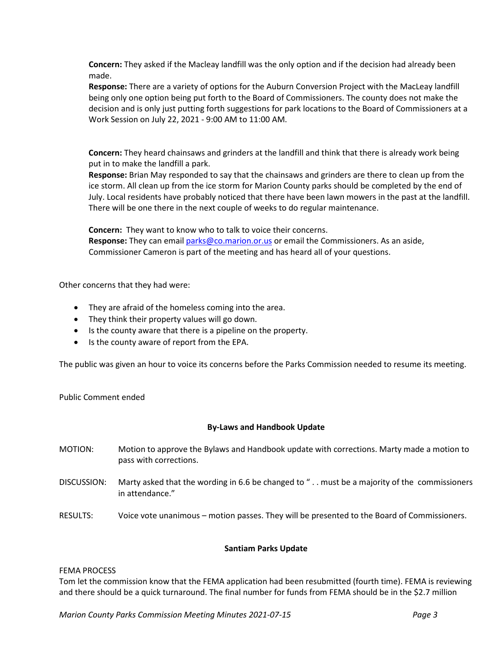**Concern:** They asked if the Macleay landfill was the only option and if the decision had already been made.

**Response:** There are a variety of options for the Auburn Conversion Project with the MacLeay landfill being only one option being put forth to the Board of Commissioners. The county does not make the decision and is only just putting forth suggestions for park locations to the Board of Commissioners at a Work Session on July 22, 2021 - 9:00 AM to 11:00 AM.

**Concern:** They heard chainsaws and grinders at the landfill and think that there is already work being put in to make the landfill a park.

**Response:** Brian May responded to say that the chainsaws and grinders are there to clean up from the ice storm. All clean up from the ice storm for Marion County parks should be completed by the end of July. Local residents have probably noticed that there have been lawn mowers in the past at the landfill. There will be one there in the next couple of weeks to do regular maintenance.

**Concern:** They want to know who to talk to voice their concerns.

**Response:** They can emai[l parks@co.marion.or.us](mailto:parks@co.marion.or.us) or email the Commissioners. As an aside, Commissioner Cameron is part of the meeting and has heard all of your questions.

Other concerns that they had were:

- They are afraid of the homeless coming into the area.
- They think their property values will go down.
- Is the county aware that there is a pipeline on the property.
- Is the county aware of report from the EPA.

The public was given an hour to voice its concerns before the Parks Commission needed to resume its meeting.

Public Comment ended

## **By-Laws and Handbook Update**

- MOTION: Motion to approve the Bylaws and Handbook update with corrections. Marty made a motion to pass with corrections.
- DISCUSSION: Marty asked that the wording in 6.6 be changed to " . . must be a majority of the commissioners in attendance."
- RESULTS: Voice vote unanimous motion passes. They will be presented to the Board of Commissioners.

## **Santiam Parks Update**

#### FEMA PROCESS

Tom let the commission know that the FEMA application had been resubmitted (fourth time). FEMA is reviewing and there should be a quick turnaround. The final number for funds from FEMA should be in the \$2.7 million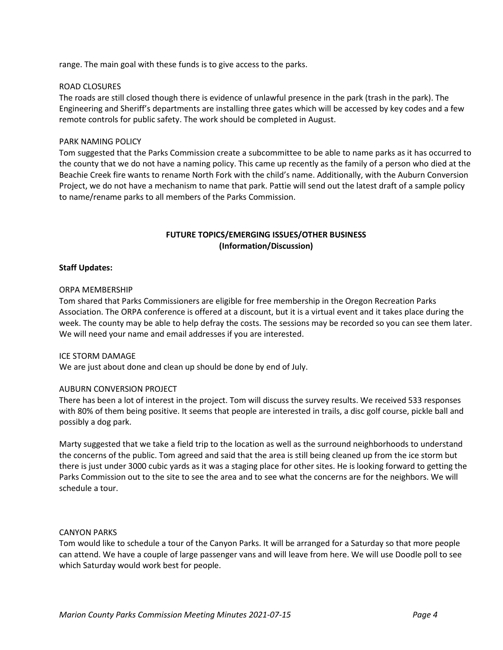range. The main goal with these funds is to give access to the parks.

#### ROAD CLOSURES

The roads are still closed though there is evidence of unlawful presence in the park (trash in the park). The Engineering and Sheriff's departments are installing three gates which will be accessed by key codes and a few remote controls for public safety. The work should be completed in August.

#### PARK NAMING POLICY

Tom suggested that the Parks Commission create a subcommittee to be able to name parks as it has occurred to the county that we do not have a naming policy. This came up recently as the family of a person who died at the Beachie Creek fire wants to rename North Fork with the child's name. Additionally, with the Auburn Conversion Project, we do not have a mechanism to name that park. Pattie will send out the latest draft of a sample policy to name/rename parks to all members of the Parks Commission.

## **FUTURE TOPICS/EMERGING ISSUES/OTHER BUSINESS (Information/Discussion)**

#### **Staff Updates:**

#### ORPA MEMBERSHIP

Tom shared that Parks Commissioners are eligible for free membership in the Oregon Recreation Parks Association. The ORPA conference is offered at a discount, but it is a virtual event and it takes place during the week. The county may be able to help defray the costs. The sessions may be recorded so you can see them later. We will need your name and email addresses if you are interested.

#### ICE STORM DAMAGE

We are just about done and clean up should be done by end of July.

#### AUBURN CONVERSION PROJECT

There has been a lot of interest in the project. Tom will discuss the survey results. We received 533 responses with 80% of them being positive. It seems that people are interested in trails, a disc golf course, pickle ball and possibly a dog park.

Marty suggested that we take a field trip to the location as well as the surround neighborhoods to understand the concerns of the public. Tom agreed and said that the area is still being cleaned up from the ice storm but there is just under 3000 cubic yards as it was a staging place for other sites. He is looking forward to getting the Parks Commission out to the site to see the area and to see what the concerns are for the neighbors. We will schedule a tour.

#### CANYON PARKS

Tom would like to schedule a tour of the Canyon Parks. It will be arranged for a Saturday so that more people can attend. We have a couple of large passenger vans and will leave from here. We will use Doodle poll to see which Saturday would work best for people.